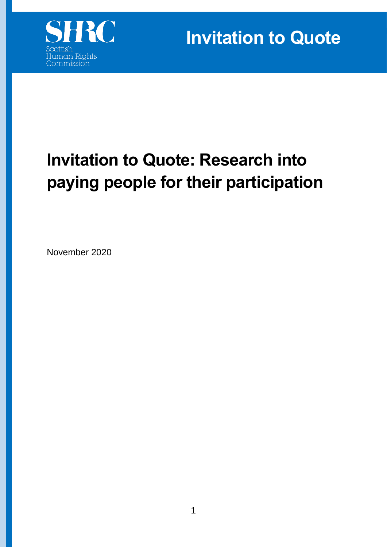

**Invitation to Quote** 

# **Invitation to Quote: Research into paying people for their participation**

November 2020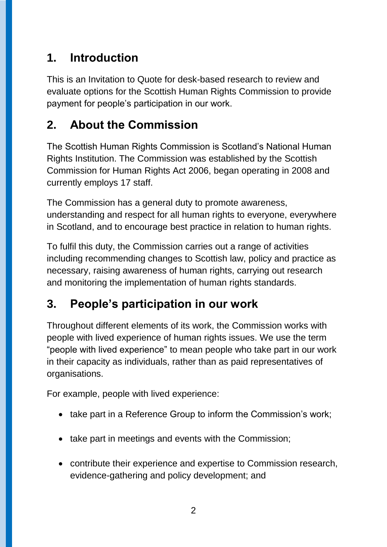## **1. Introduction**

This is an Invitation to Quote for desk-based research to review and evaluate options for the Scottish Human Rights Commission to provide payment for people's participation in our work.

## **2. About the Commission**

The Scottish Human Rights Commission is Scotland's National Human Rights Institution. The Commission was established by the Scottish Commission for Human Rights Act 2006, began operating in 2008 and currently employs 17 staff.

The Commission has a general duty to promote awareness, understanding and respect for all human rights to everyone, everywhere in Scotland, and to encourage best practice in relation to human rights.

To fulfil this duty, the Commission carries out a range of activities including recommending changes to Scottish law, policy and practice as necessary, raising awareness of human rights, carrying out research and monitoring the implementation of human rights standards.

## **3. People's participation in our work**

Throughout different elements of its work, the Commission works with people with lived experience of human rights issues. We use the term "people with lived experience" to mean people who take part in our work in their capacity as individuals, rather than as paid representatives of organisations.

For example, people with lived experience:

- take part in a Reference Group to inform the Commission's work;
- take part in meetings and events with the Commission;
- contribute their experience and expertise to Commission research, evidence-gathering and policy development; and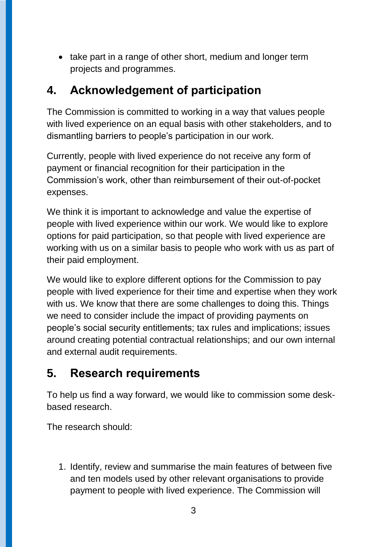• take part in a range of other short, medium and longer term projects and programmes.

### **4. Acknowledgement of participation**

The Commission is committed to working in a way that values people with lived experience on an equal basis with other stakeholders, and to dismantling barriers to people's participation in our work.

Currently, people with lived experience do not receive any form of payment or financial recognition for their participation in the Commission's work, other than reimbursement of their out-of-pocket expenses.

We think it is important to acknowledge and value the expertise of people with lived experience within our work. We would like to explore options for paid participation, so that people with lived experience are working with us on a similar basis to people who work with us as part of their paid employment.

We would like to explore different options for the Commission to pay people with lived experience for their time and expertise when they work with us. We know that there are some challenges to doing this. Things we need to consider include the impact of providing payments on people's social security entitlements; tax rules and implications; issues around creating potential contractual relationships; and our own internal and external audit requirements.

## **5. Research requirements**

To help us find a way forward, we would like to commission some deskbased research.

The research should:

1. Identify, review and summarise the main features of between five and ten models used by other relevant organisations to provide payment to people with lived experience. The Commission will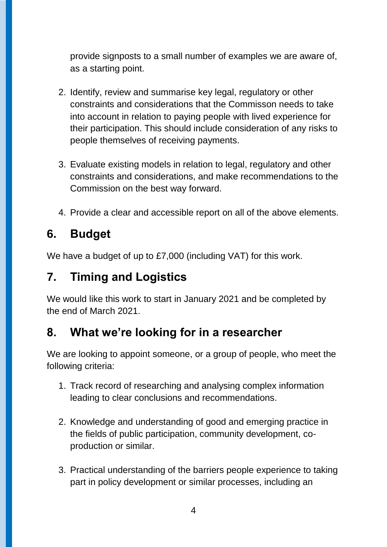provide signposts to a small number of examples we are aware of, as a starting point.

- 2. Identify, review and summarise key legal, regulatory or other constraints and considerations that the Commisson needs to take into account in relation to paying people with lived experience for their participation. This should include consideration of any risks to people themselves of receiving payments.
- 3. Evaluate existing models in relation to legal, regulatory and other constraints and considerations, and make recommendations to the Commission on the best way forward.
- 4. Provide a clear and accessible report on all of the above elements.

#### **6. Budget**

We have a budget of up to £7,000 (including VAT) for this work.

#### **7. Timing and Logistics**

We would like this work to start in January 2021 and be completed by the end of March 2021.

#### **8. What we're looking for in a researcher**

We are looking to appoint someone, or a group of people, who meet the following criteria:

- 1. Track record of researching and analysing complex information leading to clear conclusions and recommendations.
- 2. Knowledge and understanding of good and emerging practice in the fields of public participation, community development, coproduction or similar.
- 3. Practical understanding of the barriers people experience to taking part in policy development or similar processes, including an